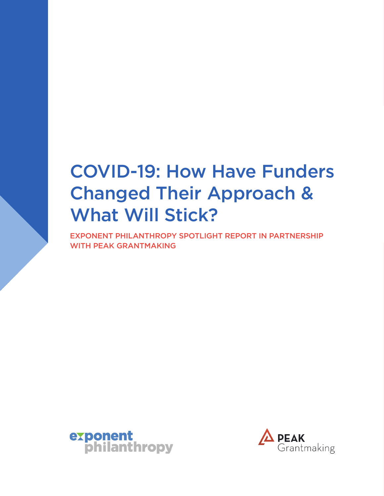# COVID-19: How Have Funders Changed Their Approach & What Will Stick?

EXPONENT PHILANTHROPY SPOTLIGHT REPORT IN PARTNERSHIP WITH PEAK GRANTMAKING



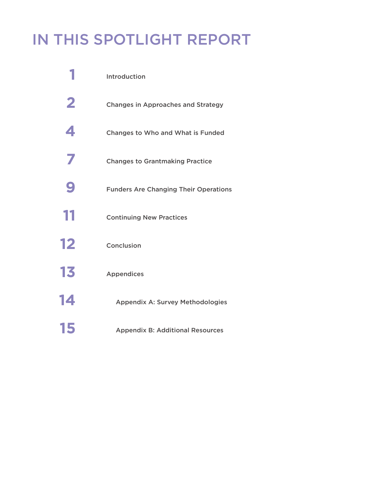# IN THIS SPOTLIGHT REPORT

|                         | Introduction                                 |
|-------------------------|----------------------------------------------|
| $\overline{\mathbf{2}}$ | <b>Changes in Approaches and Strategy</b>    |
| 4                       | Changes to Who and What is Funded            |
| 7                       | <b>Changes to Grantmaking Practice</b>       |
| 9                       | <b>Funders Are Changing Their Operations</b> |
| 11                      | <b>Continuing New Practices</b>              |
| 12                      | Conclusion                                   |
| 13                      | <b>Appendices</b>                            |
| 14                      | <b>Appendix A: Survey Methodologies</b>      |
| 15                      | <b>Appendix B: Additional Resources</b>      |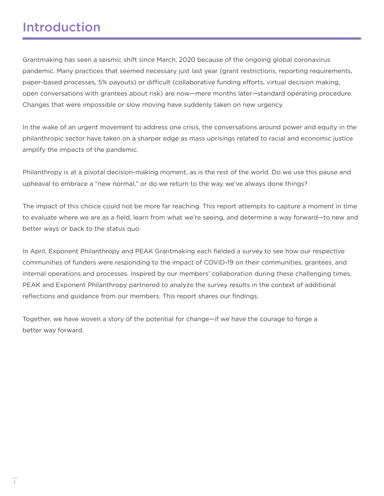## Introduction

Grantmaking has seen a seismic shift since March, 2020 because of the ongoing global coronavirus pandemic. Many practices that seemed necessary just last year (grant restrictions, reporting requirements, paper-based processes, 5% payouts) or difficult (collaborative funding efforts, virtual decision making, open conversations with grantees about risk) are now—mere months later—standard operating procedure. Changes that were impossible or slow moving have suddenly taken on new urgency.

In the wake of an urgent movement to address one crisis, the conversations around power and equity in the philanthropic sector have taken on a sharper edge as mass uprisings related to racial and economic justice amplify the impacts of the pandemic.

Philanthropy is at a pivotal decision-making moment, as is the rest of the world. Do we use this pause and upheaval to embrace a "new normal," or do we return to the way we've always done things?

The impact of this choice could not be more far reaching. This report attempts to capture a moment in time to evaluate where we are as a field, learn from what we're seeing, and determine a way forward—to new and better ways or back to the status quo.

In April, Exponent Philanthropy and PEAK Grantmaking each fielded a survey to see how our respective communities of funders were responding to the impact of COVID-19 on their communities, grantees, and internal operations and processes. Inspired by our members' collaboration during these challenging times, PEAK and Exponent Philanthropy partnered to analyze the survey results in the context of additional reflections and guidance from our members. This report shares our findings.

Together, we have woven a story of the potential for change—if we have the courage to forge a better way forward.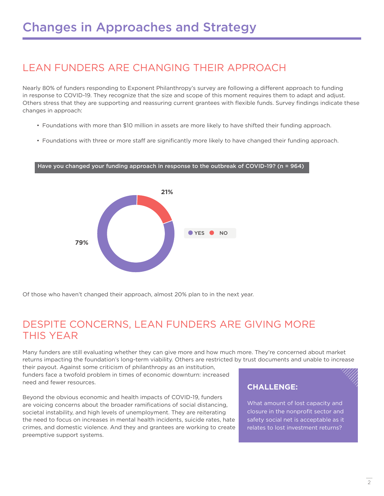### LEAN FUNDERS ARE CHANGING THEIR APPROACH

Nearly 80% of funders responding to Exponent Philanthropy's survey are following a different approach to funding in response to COVID-19. They recognize that the size and scope of this moment requires them to adapt and adjust. Others stress that they are supporting and reassuring current grantees with flexible funds. Survey findings indicate these changes in approach:

- Foundations with more than \$10 million in assets are more likely to have shifted their funding approach.
- Foundations with three or more staff are significantly more likely to have changed their funding approach.

#### Have you changed your funding approach in response to the outbreak of COVID-19? (n = 964)



Of those who haven't changed their approach, almost 20% plan to in the next year.

### DESPITE CONCERNS, LEAN FUNDERS ARE GIVING MORE THIS YEAR

Many funders are still evaluating whether they can give more and how much more. They're concerned about market returns impacting the foundation's long-term viability. Others are restricted by trust documents and unable to increase

their payout. Against some criticism of philanthropy as an institution, funders face a twofold problem in times of economic downturn: increased need and fewer resources.

Beyond the obvious economic and health impacts of COVID-19, funders are voicing concerns about the broader ramifications of social distancing, societal instability, and high levels of unemployment. They are reiterating the need to focus on increases in mental health incidents, suicide rates, hate crimes, and domestic violence. And they and grantees are working to create preemptive support systems.

#### **CHALLENGE:**

What amount of lost capacity and closure in the nonprofit sector and safety social net is acceptable as it relates to lost investment returns?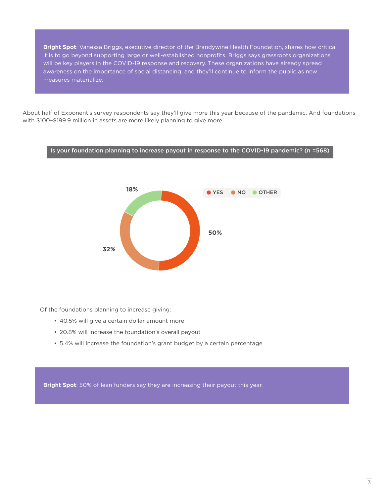**Bright Spot**: Vanessa Briggs, executive director of the Brandywine Health Foundation, shares how critical it is to go beyond supporting large or well-established nonprofits. Briggs says grassroots organizations will be key players in the COVID-19 response and recovery. These organizations have already spread awareness on the importance of social distancing, and they'll continue to inform the public as new measures materialize.

About half of Exponent's survey respondents say they'll give more this year because of the pandemic. And foundations with \$100–\$199.9 million in assets are more likely planning to give more.



Of the foundations planning to increase giving:

- 40.5% will give a certain dollar amount more
- 20.8% will increase the foundation's overall payout
- 5.4% will increase the foundation's grant budget by a certain percentage

**Bright Spot**: 50% of lean funders say they are increasing their payout this year.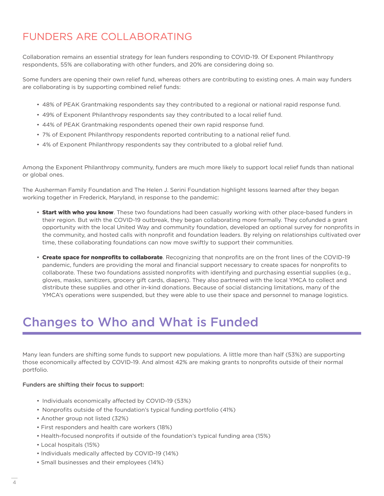## FUNDERS ARE COLLABORATING

Collaboration remains an essential strategy for lean funders responding to COVID-19. Of Exponent Philanthropy respondents, 55% are collaborating with other funders, and 20% are considering doing so.

Some funders are opening their own relief fund, whereas others are contributing to existing ones. A main way funders are collaborating is by supporting combined relief funds:

- 48% of PEAK Grantmaking respondents say they contributed to a regional or national rapid response fund.
- 49% of Exponent Philanthropy respondents say they contributed to a local relief fund.
- 44% of PEAK Grantmaking respondents opened their own rapid response fund.
- 7% of Exponent Philanthropy respondents reported contributing to a national relief fund.
- 4% of Exponent Philanthropy respondents say they contributed to a global relief fund.

Among the Exponent Philanthropy community, funders are much more likely to support local relief funds than national or global ones.

The Ausherman Family Foundation and The Helen J. Serini Foundation highlight lessons learned after they began working together in Frederick, Maryland, in response to the pandemic:

- Start with who you know. These two foundations had been casually working with other place-based funders in their region. But with the COVID-19 outbreak, they began collaborating more formally. They cofunded a grant opportunity with the local United Way and community foundation, developed an optional survey for nonprofits in the community, and hosted calls with nonprofit and foundation leaders. By relying on relationships cultivated over time, these collaborating foundations can now move swiftly to support their communities.
- Create space for nonprofits to collaborate. Recognizing that nonprofits are on the front lines of the COVID-19 pandemic, funders are providing the moral and financial support necessary to create spaces for nonprofits to collaborate. These two foundations assisted nonprofits with identifying and purchasing essential supplies (e.g., gloves, masks, sanitizers, grocery gift cards, diapers). They also partnered with the local YMCA to collect and distribute these supplies and other in-kind donations. Because of social distancing limitations, many of the YMCA's operations were suspended, but they were able to use their space and personnel to manage logistics.

## Changes to Who and What is Funded

Many lean funders are shifting some funds to support new populations. A little more than half (53%) are supporting those economically affected by COVID-19. And almost 42% are making grants to nonprofits outside of their normal portfolio.

#### Funders are shifting their focus to support:

- Individuals economically affected by COVID-19 (53%)
- Nonprofits outside of the foundation's typical funding portfolio (41%)
- Another group not listed (32%)
- First responders and health care workers (18%)
- Health-focused nonprofits if outside of the foundation's typical funding area (15%)
- Local hospitals (15%)
- Individuals medically affected by COVID-19 (14%)
- Small businesses and their employees (14%)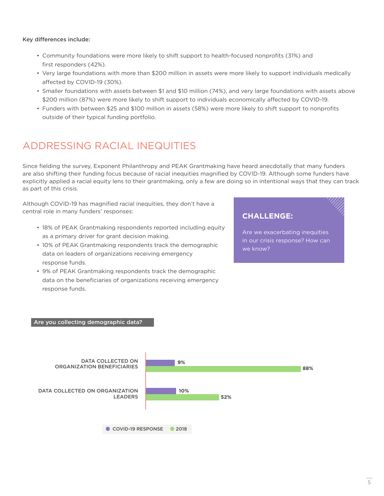#### Key differences include:

- Community foundations were more likely to shift support to health-focused nonprofits (31%) and first responders (42%).
- Very large foundations with more than \$200 million in assets were more likely to support individuals medically affected by COVID-19 (30%).
- Smaller foundations with assets between \$1 and \$10 million (74%), and very large foundations with assets above \$200 million (87%) were more likely to shift support to individuals economically affected by COVID-19.
- Funders with between \$25 and \$100 million in assets (58%) were more likely to shift support to nonprofits outside of their typical funding portfolio.

### ADDRESSING RACIAL INEQUITIES

Since fielding the survey, Exponent Philanthropy and PEAK Grantmaking have heard anecdotally that many funders are also shifting their funding focus because of racial inequities magnified by COVID-19. Although some funders have explicitly applied a racial equity lens to their grantmaking, only a few are doing so in intentional ways that they can track as part of this crisis.

Although COVID-19 has magnified racial inequities, they don't have a central role in many funders' responses:

- 18% of PEAK Grantmaking respondents reported including equity as a primary driver for grant decision making.
- 10% of PEAK Grantmaking respondents track the demographic data on leaders of organizations receiving emergency response funds.
- 9% of PEAK Grantmaking respondents track the demographic data on the beneficiaries of organizations receiving emergency response funds.

### **CHALLENGE:**

Are we exacerbating inequities in our crisis response? How can we know?

#### Are you collecting demographic data?

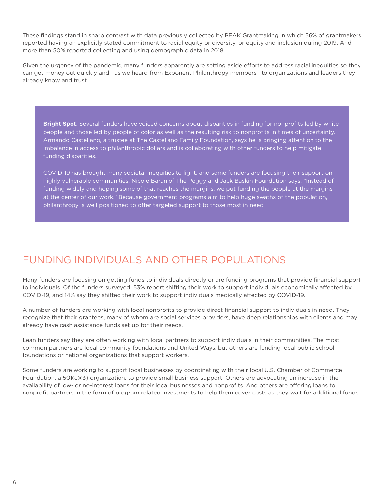These findings stand in sharp contrast with data previously collected by PEAK Grantmaking in which 56% of grantmakers reported having an explicitly stated commitment to racial equity or diversity, or equity and inclusion during 2019. And more than 50% reported collecting and using demographic data in 2018.

Given the urgency of the pandemic, many funders apparently are setting aside efforts to address racial inequities so they can get money out quickly and—as we heard from Exponent Philanthropy members—to organizations and leaders they already know and trust.

**Bright Spot**: Several funders have voiced concerns about disparities in funding for nonprofits led by white people and those led by people of color as well as the resulting risk to nonprofits in times of uncertainty. Armando Castellano, a trustee at The Castellano Family Foundation, says he is bringing attention to the imbalance in access to philanthropic dollars and is collaborating with other funders to help mitigate funding disparities.

COVID-19 has brought many societal inequities to light, and some funders are focusing their support on highly vulnerable communities. Nicole Baran of The Peggy and Jack Baskin Foundation says, "Instead of funding widely and hoping some of that reaches the margins, we put funding the people at the margins at the center of our work." Because government programs aim to help huge swaths of the population, philanthropy is well positioned to offer targeted support to those most in need.

### FUNDING INDIVIDUALS AND OTHER POPULATIONS

Many funders are focusing on getting funds to individuals directly or are funding programs that provide financial support to individuals. Of the funders surveyed, 53% report shifting their work to support individuals economically affected by COVID-19, and 14% say they shifted their work to support individuals medically affected by COVID-19.

A number of funders are working with local nonprofits to provide direct financial support to individuals in need. They recognize that their grantees, many of whom are social services providers, have deep relationships with clients and may already have cash assistance funds set up for their needs.

Lean funders say they are often working with local partners to support individuals in their communities. The most common partners are local community foundations and United Ways, but others are funding local public school foundations or national organizations that support workers.

Some funders are working to support local businesses by coordinating with their local U.S. Chamber of Commerce Foundation, a 501(c)(3) organization, to provide small business support. Others are advocating an increase in the availability of low- or no-interest loans for their local businesses and nonprofits. And others are offering loans to nonprofit partners in the form of program related investments to help them cover costs as they wait for additional funds.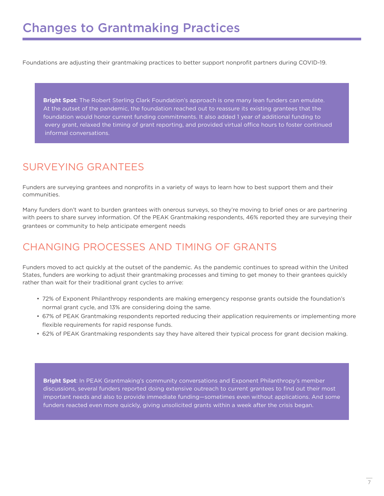Foundations are adjusting their grantmaking practices to better support nonprofit partners during COVID-19.

**Bright Spot**: The Robert Sterling Clark Foundation's approach is one many lean funders can emulate. At the outset of the pandemic, the foundation reached out to reassure its existing grantees that the foundation would honor current funding commitments. It also added 1 year of additional funding to every grant, relaxed the timing of grant reporting, and provided virtual office hours to foster continued informal conversations.

## SURVEYING GRANTEES

Funders are surveying grantees and nonprofits in a variety of ways to learn how to best support them and their communities.

Many funders don't want to burden grantees with onerous surveys, so they're moving to brief ones or are partnering with peers to share survey information. Of the PEAK Grantmaking respondents, 46% reported they are surveying their grantees or community to help anticipate emergent needs

### CHANGING PROCESSES AND TIMING OF GRANTS

Funders moved to act quickly at the outset of the pandemic. As the pandemic continues to spread within the United States, funders are working to adjust their grantmaking processes and timing to get money to their grantees quickly rather than wait for their traditional grant cycles to arrive:

- 72% of Exponent Philanthropy respondents are making emergency response grants outside the foundation's normal grant cycle, and 13% are considering doing the same.
- 67% of PEAK Grantmaking respondents reported reducing their application requirements or implementing more flexible requirements for rapid response funds.
- 62% of PEAK Grantmaking respondents say they have altered their typical process for grant decision making.

**Bright Spot**: In PEAK Grantmaking's community conversations and Exponent Philanthropy's member discussions, several funders reported doing extensive outreach to current grantees to find out their most important needs and also to provide immediate funding—sometimes even without applications. And some funders reacted even more quickly, giving unsolicited grants within a week after the crisis began.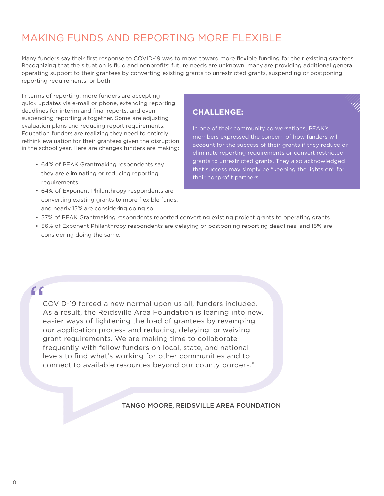### MAKING FUNDS AND REPORTING MORE FLEXIBLE

Many funders say their first response to COVID-19 was to move toward more flexible funding for their existing grantees. Recognizing that the situation is fluid and nonprofits' future needs are unknown, many are providing additional general operating support to their grantees by converting existing grants to unrestricted grants, suspending or postponing reporting requirements, or both.

In terms of reporting, more funders are accepting quick updates via e-mail or phone, extending reporting deadlines for interim and final reports, and even suspending reporting altogether. Some are adjusting evaluation plans and reducing report requirements. Education funders are realizing they need to entirely rethink evaluation for their grantees given the disruption in the school year. Here are changes funders are making:

- 64% of PEAK Grantmaking respondents say they are eliminating or reducing reporting requirements
- 64% of Exponent Philanthropy respondents are converting existing grants to more flexible funds, and nearly 15% are considering doing so.

#### **CHALLENGE:**

In one of their community conversations, PEAK's members expressed the concern of how funders will account for the success of their grants if they reduce or eliminate reporting requirements or convert restricted grants to unrestricted grants. They also acknowledged that success may simply be "keeping the lights on" for their nonprofit partners.

- 57% of PEAK Grantmaking respondents reported converting existing project grants to operating grants
- 56% of Exponent Philanthropy respondents are delaying or postponing reporting deadlines, and 15% are considering doing the same.

### "

COVID-19 forced a new normal upon us all, funders included. As a result, the Reidsville Area Foundation is leaning into new, easier ways of lightening the load of grantees by revamping our application process and reducing, delaying, or waiving grant requirements. We are making time to collaborate frequently with fellow funders on local, state, and national levels to find what's working for other communities and to connect to available resources beyond our county borders."

TANGO MOORE, REIDSVILLE AREA FOUNDATION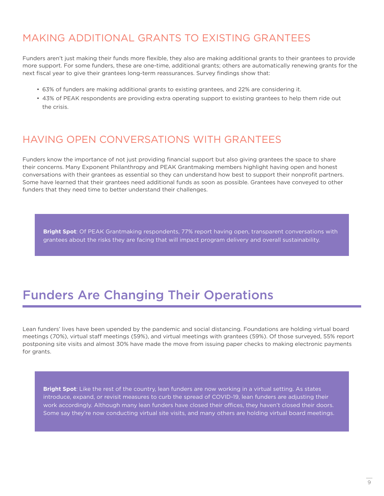### MAKING ADDITIONAL GRANTS TO EXISTING GRANTEES

Funders aren't just making their funds more flexible, they also are making additional grants to their grantees to provide more support. For some funders, these are one-time, additional grants; others are automatically renewing grants for the next fiscal year to give their grantees long-term reassurances. Survey findings show that:

- 63% of funders are making additional grants to existing grantees, and 22% are considering it.
- 43% of PEAK respondents are providing extra operating support to existing grantees to help them ride out the crisis.

### HAVING OPEN CONVERSATIONS WITH GRANTEES

Funders know the importance of not just providing financial support but also giving grantees the space to share their concerns. Many Exponent Philanthropy and PEAK Grantmaking members highlight having open and honest conversations with their grantees as essential so they can understand how best to support their nonprofit partners. Some have learned that their grantees need additional funds as soon as possible. Grantees have conveyed to other funders that they need time to better understand their challenges.

**Bright Spot**: Of PEAK Grantmaking respondents, 77% report having open, transparent conversations with grantees about the risks they are facing that will impact program delivery and overall sustainability.

# Funders Are Changing Their Operations

Lean funders' lives have been upended by the pandemic and social distancing. Foundations are holding virtual board meetings (70%), virtual staff meetings (59%), and virtual meetings with grantees (59%). Of those surveyed, 55% report postponing site visits and almost 30% have made the move from issuing paper checks to making electronic payments for grants.

**Bright Spot**: Like the rest of the country, lean funders are now working in a virtual setting. As states introduce, expand, or revisit measures to curb the spread of COVID-19, lean funders are adjusting their work accordingly. Although many lean funders have closed their offices, they haven't closed their doors. Some say they're now conducting virtual site visits, and many others are holding virtual board meetings.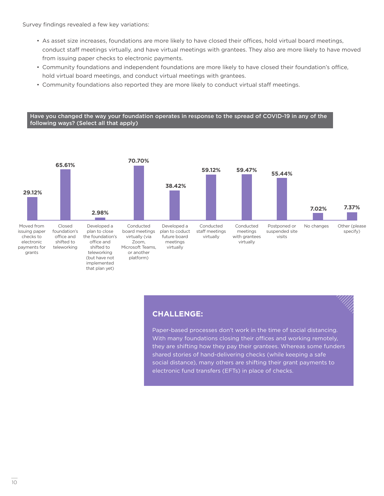Survey findings revealed a few key variations:

- As asset size increases, foundations are more likely to have closed their offices, hold virtual board meetings, conduct staff meetings virtually, and have virtual meetings with grantees. They also are more likely to have moved from issuing paper checks to electronic payments.
- Community foundations and independent foundations are more likely to have closed their foundation's office, hold virtual board meetings, and conduct virtual meetings with grantees.
- Community foundations also reported they are more likely to conduct virtual staff meetings.

Have you changed the way your foundation operates in response to the spread of COVID-19 in any of the following ways? (Select all that apply)



#### **CHALLENGE:**

Paper-based processes don't work in the time of social distancing. With many foundations closing their offices and working remotely, they are shifting how they pay their grantees. Whereas some funders shared stories of hand-delivering checks (while keeping a safe social distance), many others are shifting their grant payments to electronic fund transfers (EFTs) in place of checks.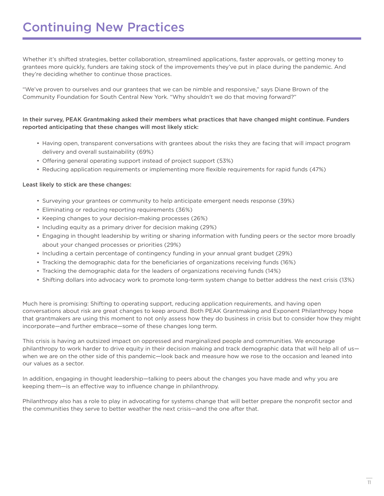Whether it's shifted strategies, better collaboration, streamlined applications, faster approvals, or getting money to grantees more quickly, funders are taking stock of the improvements they've put in place during the pandemic. And they're deciding whether to continue those practices.

"We've proven to ourselves and our grantees that we can be nimble and responsive," says Diane Brown of the Community Foundation for South Central New York. "Why shouldn't we do that moving forward?"

#### In their survey, PEAK Grantmaking asked their members what practices that have changed might continue. Funders reported anticipating that these changes will most likely stick:

- Having open, transparent conversations with grantees about the risks they are facing that will impact program delivery and overall sustainability (69%)
- Offering general operating support instead of project support (53%)
- Reducing application requirements or implementing more flexible requirements for rapid funds (47%)

#### Least likely to stick are these changes:

- Surveying your grantees or community to help anticipate emergent needs response (39%)
- Eliminating or reducing reporting requirements (36%)
- Keeping changes to your decision-making processes (26%)
- Including equity as a primary driver for decision making (29%)
- Engaging in thought leadership by writing or sharing information with funding peers or the sector more broadly about your changed processes or priorities (29%)
- Including a certain percentage of contingency funding in your annual grant budget (29%)
- Tracking the demographic data for the beneficiaries of organizations receiving funds (16%)
- Tracking the demographic data for the leaders of organizations receiving funds (14%)
- Shifting dollars into advocacy work to promote long-term system change to better address the next crisis (13%)

Much here is promising: Shifting to operating support, reducing application requirements, and having open conversations about risk are great changes to keep around. Both PEAK Grantmaking and Exponent Philanthropy hope that grantmakers are using this moment to not only assess how they do business in crisis but to consider how they might incorporate—and further embrace—some of these changes long term.

This crisis is having an outsized impact on oppressed and marginalized people and communities. We encourage philanthropy to work harder to drive equity in their decision making and track demographic data that will help all of uswhen we are on the other side of this pandemic—look back and measure how we rose to the occasion and leaned into our values as a sector.

In addition, engaging in thought leadership—talking to peers about the changes you have made and why you are keeping them—is an effective way to influence change in philanthropy.

Philanthropy also has a role to play in advocating for systems change that will better prepare the nonprofit sector and the communities they serve to better weather the next crisis—and the one after that.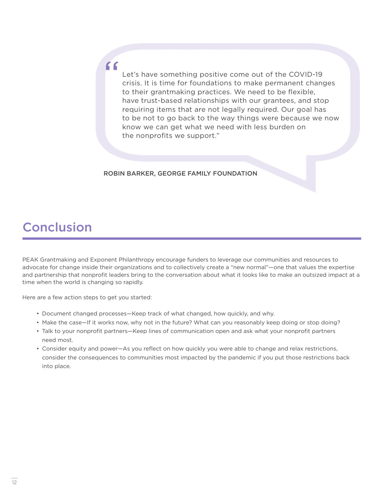Let's have something positive come out of the COVID-19 crisis. It is time for foundations to make permanent changes to their grantmaking practices. We need to be flexible, have trust-based relationships with our grantees, and stop requiring items that are not legally required. Our goal has to be not to go back to the way things were because we now know we can get what we need with less burden on the nonprofits we support."

#### ROBIN BARKER, GEORGE FAMILY FOUNDATION

# Conclusion

PEAK Grantmaking and Exponent Philanthropy encourage funders to leverage our communities and resources to advocate for change inside their organizations and to collectively create a "new normal"—one that values the expertise and partnership that nonprofit leaders bring to the conversation about what it looks like to make an outsized impact at a time when the world is changing so rapidly.

Here are a few action steps to get you started:

"

- Document changed processes—Keep track of what changed, how quickly, and why.
- Make the case—If it works now, why not in the future? What can you reasonably keep doing or stop doing?
- Talk to your nonprofit partners—Keep lines of communication open and ask what your nonprofit partners need most.
- Consider equity and power—As you reflect on how quickly you were able to change and relax restrictions, consider the consequences to communities most impacted by the pandemic if you put those restrictions back into place.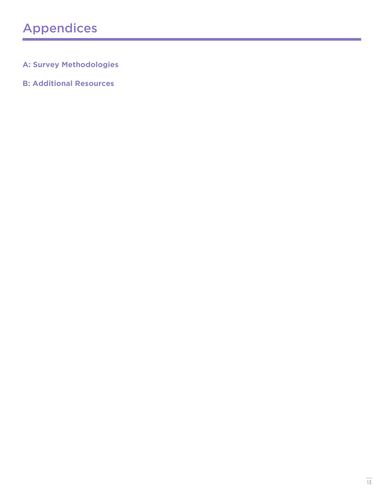### **A: Survey Methodologies**

### **B: Additional Resources**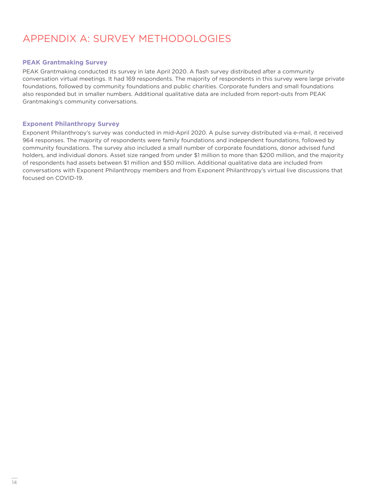### APPENDIX A: SURVEY METHODOLOGIES

#### **PEAK Grantmaking Survey**

PEAK Grantmaking conducted its survey in late April 2020. A flash survey distributed after a community conversation virtual meetings. It had 169 respondents. The majority of respondents in this survey were large private foundations, followed by community foundations and public charities. Corporate funders and small foundations also responded but in smaller numbers. Additional qualitative data are included from report-outs from PEAK Grantmaking's community conversations.

#### **Exponent Philanthropy Survey**

Exponent Philanthropy's survey was conducted in mid-April 2020. A pulse survey distributed via e-mail, it received 964 responses. The majority of respondents were family foundations and independent foundations, followed by community foundations. The survey also included a small number of corporate foundations, donor advised fund holders, and individual donors. Asset size ranged from under \$1 million to more than \$200 million, and the majority of respondents had assets between \$1 million and \$50 million. Additional qualitative data are included from conversations with Exponent Philanthropy members and from Exponent Philanthropy's virtual live discussions that focused on COVID-19.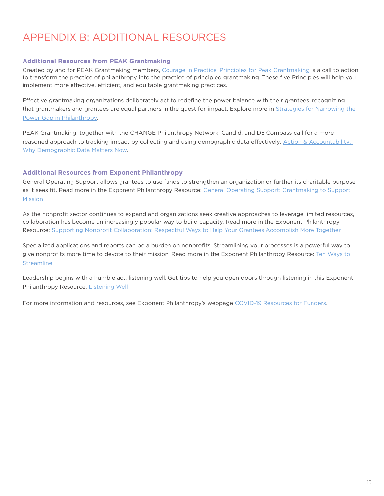### APPENDIX B: ADDITIONAL RESOURCES

#### **Additional Resources from PEAK Grantmaking**

Created by and for PEAK Grantmaking members, [Courage in Practice: Principles for Peak Grantmaking](https://www.peakgrantmaking.org/resource/courage-in-practice-the-principles-for-peak-grantmaking/) is a call to action to transform the practice of philanthropy into the practice of principled grantmaking. These five Principles will help you implement more effective, efficient, and equitable grantmaking practices.

Effective grantmaking organizations deliberately act to redefine the power balance with their grantees, recognizing that grantmakers and grantees are equal partners in the quest for impact. Explore more in [Strategies for Narrowing the](https://www.peakgrantmaking.org/resource/strategies-for-narrowing-the-power-gap-in-philanthropy/)  [Power Gap in Philanthropy](https://www.peakgrantmaking.org/resource/strategies-for-narrowing-the-power-gap-in-philanthropy/).

PEAK Grantmaking, together with the CHANGE Philanthropy Network, Candid, and D5 Compass call for a more reasoned approach to tracking impact by collecting and using demographic data effectively: Action & Accountability: [Why Demographic Data Matters Now](https://www.peakgrantmaking.org/insights/action-accountability-why-demographic-data-matters-now/).

#### **Additional Resources from Exponent Philanthropy**

General Operating Support allows grantees to use funds to strengthen an organization or further its charitable purpose as it sees fit. Read more in the Exponent Philanthropy Resource: [General Operating Support: Grantmaking to Support](https://www.exponentphilanthropy.org/resource/general-operating-support-grantmaking-to-support-mission/)  **[Mission](https://www.exponentphilanthropy.org/resource/general-operating-support-grantmaking-to-support-mission/)** 

As the nonprofit sector continues to expand and organizations seek creative approaches to leverage limited resources, collaboration has become an increasingly popular way to build capacity. Read more in the Exponent Philanthropy Resource: [Supporting Nonprofit Collaboration: Respectful Ways to Help Your Grantees Accomplish More Together](https://www.exponentphilanthropy.org/resource/supporting-nonprofit-collaboration-respectful-ways-to-help-your-grantees-accomplish-more-together/)

Specialized applications and reports can be a burden on nonprofits. Streamlining your processes is a powerful way to give nonprofits more time to devote to their mission. Read more in the Exponent Philanthropy Resource: [Ten Ways to](https://www.exponentphilanthropy.org/resource/ten-ways-to-streamline/)  **[Streamline](https://www.exponentphilanthropy.org/resource/ten-ways-to-streamline/)** 

Leadership begins with a humble act: listening well. Get tips to help you open doors through listening in this Exponent Philanthropy Resource: [Listening Well](https://www.exponentphilanthropy.org/resource/listening-well/)

For more information and resources, see Exponent Philanthropy's webpage [COVID-19 Resources for Funders](https://www.exponentphilanthropy.org/resources/covid-19-resources-for-funders/).